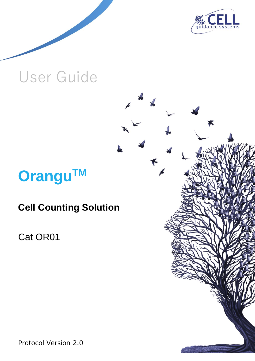

## User Guide

# **OranguTM**

## **Cell Counting Solution**

## Cat OR01

Protocol Version 2.0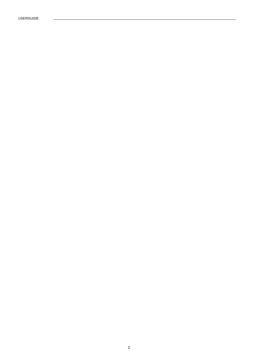USERGUIDE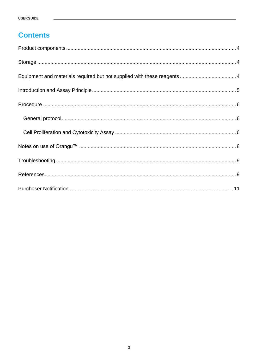## **Contents**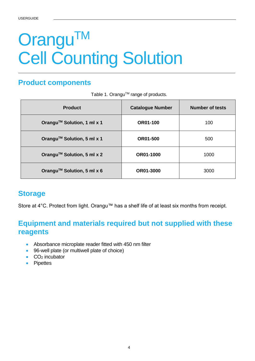# Orangu<sup>TM</sup> Cell Counting Solution

## <span id="page-3-0"></span>**Product components**

Table 1. Orangu™ range of products.

| <b>Product</b>               | <b>Catalogue Number</b> | <b>Number of tests</b> |
|------------------------------|-------------------------|------------------------|
| Orangu™ Solution, 1 ml x 1   | <b>OR01-100</b>         | 100                    |
| Orangu™ Solution, 5 ml x 1   | <b>OR01-500</b>         | 500                    |
| Orangu™ Solution, 5 ml x 2   | <b>OR01-1000</b>        | 1000                   |
| Orangu™ Solution, 5 ml $x$ 6 | <b>OR01-3000</b>        | 3000                   |

## <span id="page-3-1"></span>**Storage**

<span id="page-3-2"></span>Store at 4°C. Protect from light. Orangu™ has a shelf life of at least six months from receipt.

### **Equipment and materials required but not supplied with these reagents**

- Absorbance microplate reader fitted with 450 nm filter
- 96-well plate (or multiwell plate of choice)
- CO<sub>2</sub> incubator
- Pipettes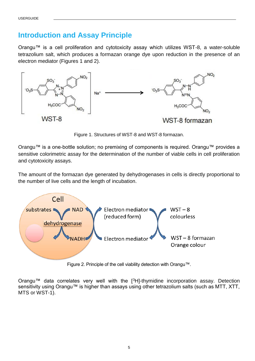## <span id="page-4-0"></span>**Introduction and Assay Principle**

Orangu™ is a cell proliferation and cytotoxicity assay which utilizes WST-8, a water-soluble tetrazolium salt, which produces a formazan orange dye upon reduction in the presence of an electron mediator (Figures 1 and 2).



Figure 1. Structures of WST-8 and WST-8 formazan.

Orangu™ is a one-bottle solution; no premixing of components is required. Orangu™ provides a sensitive colorimetric assay for the determination of the number of viable cells in cell proliferation and cytotoxicity assays.

The amount of the formazan dye generated by dehydrogenases in cells is directly proportional to the number of live cells and the length of incubation.



Figure 2. Principle of the cell viability detection with Orangu™.

Orangu™ data correlates very well with the [<sup>3</sup>H]-thymidine incorporation assay. Detection sensitivity using Orangu™ is higher than assays using other tetrazolium salts (such as MTT, XTT, MTS or WST-1).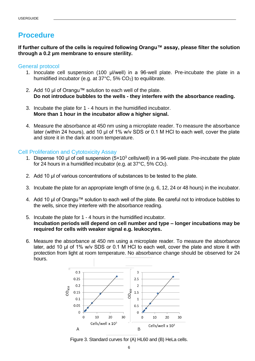## <span id="page-5-0"></span>**Procedure**

**If further culture of the cells is required following Orangu™ assay, please filter the solution through a 0.2 µm membrane to ensure sterility.** 

#### <span id="page-5-1"></span>General protocol

- 1. Inoculate cell suspension (100 μl/well) in a 96-well plate. Pre-incubate the plate in a humidified incubator (e.g. at 37°C, 5% CO2) to equilibrate.
- 2. Add 10 µl of Orangu™ solution to each well of the plate. **Do not introduce bubbles to the wells - they interfere with the absorbance reading.**
- 3. Incubate the plate for 1 4 hours in the humidified incubator. **More than 1 hour in the incubator allow a higher signal.**
- 4. Measure the absorbance at 450 nm using a microplate reader. To measure the absorbance later (within 24 hours), add 10 μl of 1% w/v SDS or 0.1 M HCl to each well, cover the plate and store it in the dark at room temperature.

#### <span id="page-5-2"></span>Cell Proliferation and Cytotoxicity Assay

- 1. Dispense 100 μl of cell suspension (5×10<sup>3</sup> cells/well) in a 96-well plate. Pre-incubate the plate for 24 hours in a humidified incubator (e.g. at 37°C, 5% CO2).
- 2. Add 10 μl of various concentrations of substances to be tested to the plate.
- 3. Incubate the plate for an appropriate length of time (e.g. 6, 12, 24 or 48 hours) in the incubator.
- 4. Add 10 μl of Orangu™ solution to each well of the plate. Be careful not to introduce bubbles to the wells, since they interfere with the absorbance reading.
- 5. Incubate the plate for 1 4 hours in the humidified incubator. **Incubation periods will depend on cell number and type – longer incubations may be required for cells with weaker signal e.g. leukocytes.**
- 6. Measure the absorbance at 450 nm using a microplate reader. To measure the absorbance later, add 10 μl of 1% w/v SDS or 0.1 M HCl to each well, cover the plate and store it with protection from light at room temperature. No absorbance change should be observed for 24 hours.



Figure 3. Standard curves for (A) HL60 and (B) HeLa cells.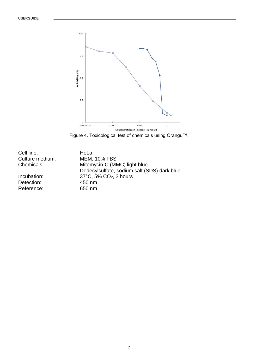

Figure 4. Toxicological test of chemicals using Orangu™.

| Cell line:      | HeLa                                        |
|-----------------|---------------------------------------------|
| Culture medium: | <b>MEM, 10% FBS</b>                         |
| Chemicals:      | Mitomycin-C (MMC) light blue                |
|                 | Dodecylsulfate, sodium salt (SDS) dark blue |
| Incubation:     | 37°C, 5% CO <sub>2</sub> , 2 hours          |
| Detection:      | 450 nm                                      |
| Reference:      | 650 nm                                      |
|                 |                                             |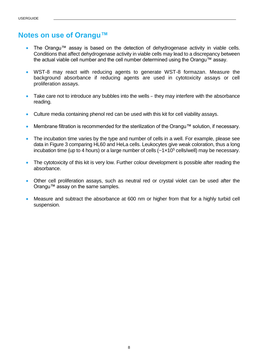### <span id="page-7-0"></span>**Notes on use of Orangu™**

- The Orangu™ assay is based on the detection of dehydrogenase activity in viable cells. Conditions that affect dehydrogenase activity in viable cells may lead to a discrepancy between the actual viable cell number and the cell number determined using the Orangu™ assay.
- WST-8 may react with reducing agents to generate WST-8 formazan. Measure the background absorbance if reducing agents are used in cytotoxicity assays or cell proliferation assays.
- Take care not to introduce any bubbles into the wells they may interfere with the absorbance reading.
- Culture media containing phenol red can be used with this kit for cell viability assays.
- Membrane filtration is recommended for the sterilization of the Orangu™ solution, if necessary.
- The incubation time varies by the type and number of cells in a well. For example, please see data in Figure 3 comparing HL60 and HeLa cells. Leukocytes give weak coloration, thus a long incubation time (up to 4 hours) or a large number of cells  $(-1 \times 10^5 \text{ cells/well})$  may be necessary.
- The cytotoxicity of this kit is very low. Further colour development is possible after reading the absorbance.
- Other cell proliferation assays, such as neutral red or crystal violet can be used after the Orangu™ assay on the same samples.
- Measure and subtract the absorbance at 600 nm or higher from that for a highly turbid cell suspension.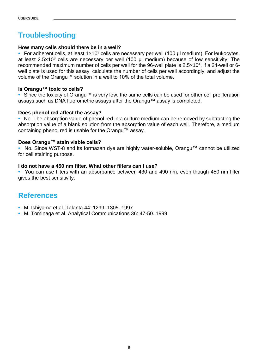## <span id="page-8-0"></span>**Troubleshooting**

#### **How many cells should there be in a well?**

**•** For adherent cells, at least 1×10<sup>3</sup> cells are necessary per well (100 μl medium). For leukocytes, at least  $2.5 \times 10^3$  cells are necessary per well (100 µl medium) because of low sensitivity. The recommended maximum number of cells per well for the 96-well plate is 2.5x10<sup>4</sup>. If a 24-well or 6well plate is used for this assay, calculate the number of cells per well accordingly, and adjust the volume of the Orangu™ solution in a well to 10% of the total volume.

#### **Is Orangu™ toxic to cells?**

• Since the toxicity of Orangu™ is very low, the same cells can be used for other cell proliferation assays such as DNA fluorometric assays after the Orangu™ assay is completed.

#### **Does phenol red affect the assay?**

**•** No. The absorption value of phenol red in a culture medium can be removed by subtracting the absorption value of a blank solution from the absorption value of each well. Therefore, a medium containing phenol red is usable for the Orangu™ assay.

#### **Does Orangu™ stain viable cells?**

**•** No. Since WST-8 and its formazan dye are highly water-soluble, Orangu™ cannot be utilized for cell staining purpose.

#### **I do not have a 450 nm filter. What other filters can I use?**

**•** You can use filters with an absorbance between 430 and 490 nm, even though 450 nm filter gives the best sensitivity.

## <span id="page-8-1"></span>**References**

- **•** M. Ishiyama et al. Talanta 44: 1299–1305. 1997
- **•** M. Tominaga et al. Analytical Communications 36: 47-50. 1999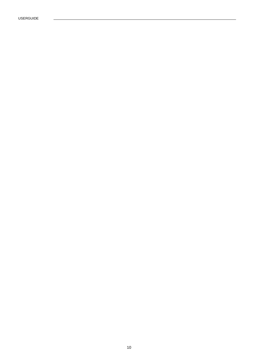USERGUIDE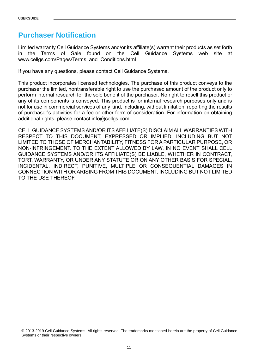## <span id="page-10-0"></span>**Purchaser Notification**

Limited warranty Cell Guidance Systems and/or its affiliate(s) warrant their products as set forth in the Terms of Sale found on the Cell Guidance Systems web site at www.cellgs.com/Pages/Terms\_and\_Conditions.html

If you have any questions, please contact Cell Guidance Systems.

This product incorporates licensed technologies. The purchase of this product conveys to the purchaser the limited, nontransferable right to use the purchased amount of the product only to perform internal research for the sole benefit of the purchaser. No right to resell this product or any of its components is conveyed. This product is for internal research purposes only and is not for use in commercial services of any kind, including, without limitation, reporting the results of purchaser's activities for a fee or other form of consideration. For information on obtaining additional rights, please contact info@cellgs.com.

CELL GUIDANCE SYSTEMS AND/OR ITS AFFILIATE(S) DISCLAIM ALL WARRANTIES WITH RESPECT TO THIS DOCUMENT, EXPRESSED OR IMPLIED, INCLUDING BUT NOT LIMITED TO THOSE OF MERCHANTABILITY, FITNESS FOR A PARTICULAR PURPOSE, OR NON-INFRINGEMENT. TO THE EXTENT ALLOWED BY LAW, IN NO EVENT SHALL CELL GUIDANCE SYSTEMS AND/OR ITS AFFILIATE(S) BE LIABLE, WHETHER IN CONTRACT, TORT, WARRANTY, OR UNDER ANY STATUTE OR ON ANY OTHER BASIS FOR SPECIAL, INCIDENTAL, INDIRECT, PUNITIVE, MULTIPLE OR CONSEQUENTIAL DAMAGES IN CONNECTION WITH OR ARISING FROM THIS DOCUMENT, INCLUDING BUT NOT LIMITED TO THE USE THEREOF.